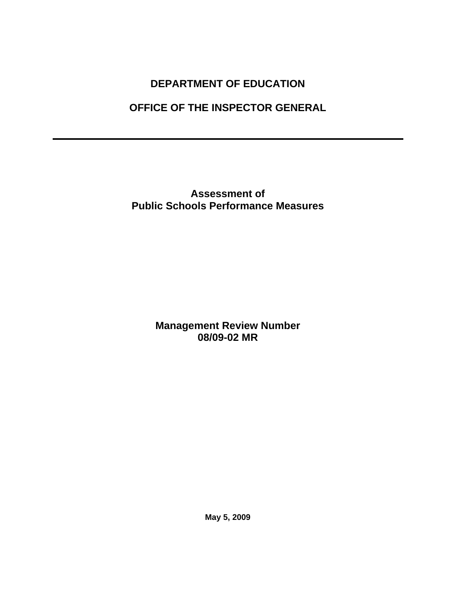# **DEPARTMENT OF EDUCATION**

# **OFFICE OF THE INSPECTOR GENERAL**

**Assessment of Public Schools Performance Measures** 

> **Management Review Number 08/09-02 MR**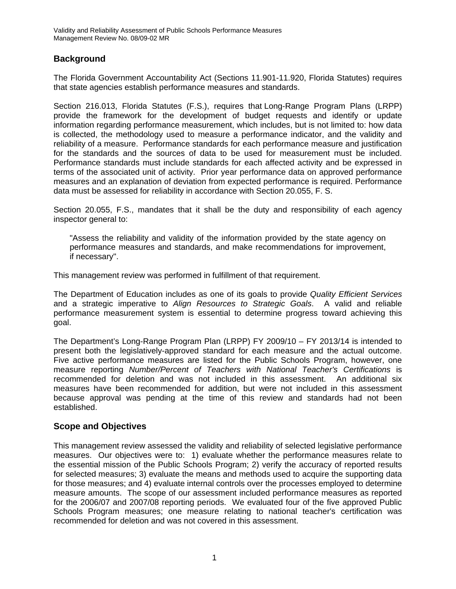# **Background**

The Florida Government Accountability Act (Sections 11.901-11.920, Florida Statutes) requires that state agencies establish performance measures and standards.

Section 216.013, Florida Statutes (F.S.), requires that Long-Range Program Plans (LRPP) provide the framework for the development of budget requests and identify or update information regarding performance measurement, which includes, but is not limited to: how data is collected, the methodology used to measure a performance indicator, and the validity and reliability of a measure. Performance standards for each performance measure and justification for the standards and the sources of data to be used for measurement must be included. Performance standards must include standards for each affected activity and be expressed in terms of the associated unit of activity. Prior year performance data on approved performance measures and an explanation of deviation from expected performance is required. Performance data must be assessed for reliability in accordance with Section 20.055, F. S.

Section 20.055, F.S., mandates that it shall be the duty and responsibility of each agency inspector general to:

"Assess the reliability and validity of the information provided by the state agency on performance measures and standards, and make recommendations for improvement, if necessary".

This management review was performed in fulfillment of that requirement.

The Department of Education includes as one of its goals to provide *Quality Efficient Services*  and a strategic imperative to *Align Resources to Strategic Goals*. A valid and reliable performance measurement system is essential to determine progress toward achieving this goal.

The Department's Long-Range Program Plan (LRPP) FY 2009/10 – FY 2013/14 is intended to present both the legislatively-approved standard for each measure and the actual outcome. Five active performance measures are listed for the Public Schools Program, however, one measure reporting *Number/Percent of Teachers with National Teacher's Certifications* is recommended for deletion and was not included in this assessment. An additional six measures have been recommended for addition, but were not included in this assessment because approval was pending at the time of this review and standards had not been established.

## **Scope and Objectives**

This management review assessed the validity and reliability of selected legislative performance measures. Our objectives were to: 1) evaluate whether the performance measures relate to the essential mission of the Public Schools Program; 2) verify the accuracy of reported results for selected measures; 3) evaluate the means and methods used to acquire the supporting data for those measures; and 4) evaluate internal controls over the processes employed to determine measure amounts. The scope of our assessment included performance measures as reported for the 2006/07 and 2007/08 reporting periods. We evaluated four of the five approved Public Schools Program measures; one measure relating to national teacher's certification was recommended for deletion and was not covered in this assessment.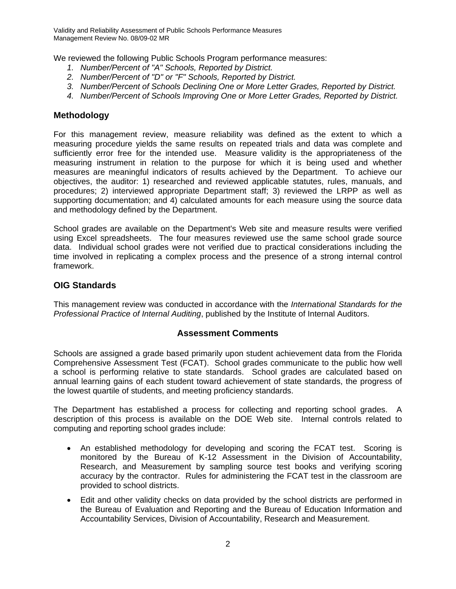Validity and Reliability Assessment of Public Schools Performance Measures Management Review No. 08/09-02 MR

We reviewed the following Public Schools Program performance measures:

- *1. Number/Percent of "A" Schools, Reported by District.*
- *2. Number/Percent of "D" or "F" Schools, Reported by District.*
- *3. Number/Percent of Schools Declining One or More Letter Grades, Reported by District.*
- *4. Number/Percent of Schools Improving One or More Letter Grades, Reported by District.*

#### **Methodology**

For this management review, measure reliability was defined as the extent to which a measuring procedure yields the same results on repeated trials and data was complete and sufficiently error free for the intended use. Measure validity is the appropriateness of the measuring instrument in relation to the purpose for which it is being used and whether measures are meaningful indicators of results achieved by the Department. To achieve our objectives, the auditor: 1) researched and reviewed applicable statutes, rules, manuals, and procedures; 2) interviewed appropriate Department staff; 3) reviewed the LRPP as well as supporting documentation; and 4) calculated amounts for each measure using the source data and methodology defined by the Department.

School grades are available on the Department's Web site and measure results were verified using Excel spreadsheets. The four measures reviewed use the same school grade source data. Individual school grades were not verified due to practical considerations including the time involved in replicating a complex process and the presence of a strong internal control framework.

#### **OIG Standards**

This management review was conducted in accordance with the *International Standards for the Professional Practice of Internal Auditing*, published by the Institute of Internal Auditors.

#### **Assessment Comments**

Schools are assigned a grade based primarily upon student achievement data from the Florida Comprehensive Assessment Test (FCAT). School grades communicate to the public how well a school is performing relative to state standards. School grades are calculated based on annual learning gains of each student toward achievement of state standards, the progress of the lowest quartile of students, and meeting proficiency standards.

The Department has established a process for collecting and reporting school grades. A description of this process is available on the DOE Web site. Internal controls related to computing and reporting school grades include:

- An established methodology for developing and scoring the FCAT test. Scoring is monitored by the Bureau of K-12 Assessment in the Division of Accountability, Research, and Measurement by sampling source test books and verifying scoring accuracy by the contractor. Rules for administering the FCAT test in the classroom are provided to school districts.
- Edit and other validity checks on data provided by the school districts are performed in the Bureau of Evaluation and Reporting and the Bureau of Education Information and Accountability Services, Division of Accountability, Research and Measurement.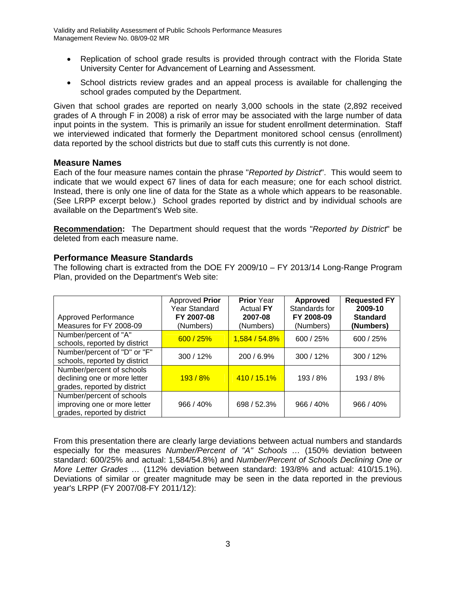- Replication of school grade results is provided through contract with the Florida State University Center for Advancement of Learning and Assessment.
- School districts review grades and an appeal process is available for challenging the school grades computed by the Department.

Given that school grades are reported on nearly 3,000 schools in the state (2,892 received grades of A through F in 2008) a risk of error may be associated with the large number of data input points in the system. This is primarily an issue for student enrollment determination. Staff we interviewed indicated that formerly the Department monitored school census (enrollment) data reported by the school districts but due to staff cuts this currently is not done.

#### **Measure Names**

Each of the four measure names contain the phrase "*Reported by District*". This would seem to indicate that we would expect 67 lines of data for each measure; one for each school district. Instead, there is only one line of data for the State as a whole which appears to be reasonable. (See LRPP excerpt below.) School grades reported by district and by individual schools are available on the Department's Web site.

**Recommendation:** The Department should request that the words "*Reported by District*" be deleted from each measure name.

#### **Performance Measure Standards**

The following chart is extracted from the DOE FY 2009/10 – FY 2013/14 Long-Range Program Plan, provided on the Department's Web site:

| <b>Approved Performance</b><br>Measures for FY 2008-09                                    | Approved Prior<br><b>Year Standard</b><br>FY 2007-08<br>(Numbers) | <b>Prior</b> Year<br><b>Actual FY</b><br>2007-08<br>(Numbers) | <b>Approved</b><br>Standards for<br>FY 2008-09<br>(Numbers) | <b>Requested FY</b><br>2009-10<br><b>Standard</b><br>(Numbers) |
|-------------------------------------------------------------------------------------------|-------------------------------------------------------------------|---------------------------------------------------------------|-------------------------------------------------------------|----------------------------------------------------------------|
| Number/percent of "A"<br>schools, reported by district                                    | 600 / 25%                                                         | 1,584 / 54.8%                                                 | 600 / 25%                                                   | 600 / 25%                                                      |
| Number/percent of "D" or "F"<br>schools, reported by district                             | 300 / 12%                                                         | 200/6.9%                                                      | 300/12%                                                     | 300/12%                                                        |
| Number/percent of schools<br>declining one or more letter<br>grades, reported by district | 193/8%                                                            | 410/15.1%                                                     | 193/8%                                                      | 193/8%                                                         |
| Number/percent of schools<br>improving one or more letter<br>grades, reported by district | 966 / 40%                                                         | 698 / 52.3%                                                   | $966 / 40\%$                                                | 966 / 40%                                                      |

From this presentation there are clearly large deviations between actual numbers and standards especially for the measures *Number/Percent of "A" Schools …* (150% deviation between standard: 600/25% and actual: 1,584/54.8%) and *Number/Percent of Schools Declining One or More Letter Grades …* (112% deviation between standard: 193/8% and actual: 410/15.1%). Deviations of similar or greater magnitude may be seen in the data reported in the previous year's LRPP (FY 2007/08-FY 2011/12):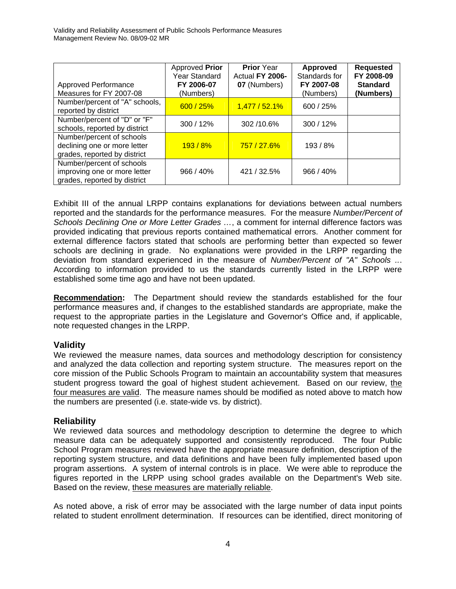| <b>Approved Performance</b><br>Measures for FY 2007-08                                    | Approved Prior<br><b>Year Standard</b><br>FY 2006-07<br>(Numbers) | <b>Prior</b> Year<br>Actual FY 2006-<br>07 (Numbers) | Approved<br>Standards for<br>FY 2007-08<br>(Numbers) | <b>Requested</b><br>FY 2008-09<br><b>Standard</b><br>(Numbers) |
|-------------------------------------------------------------------------------------------|-------------------------------------------------------------------|------------------------------------------------------|------------------------------------------------------|----------------------------------------------------------------|
| Number/percent of "A" schools,<br>reported by district                                    | 600 / 25%                                                         | 1,477/52.1%                                          | 600 / 25%                                            |                                                                |
| Number/percent of "D" or "F"<br>schools, reported by district                             | 300 / 12%                                                         | 302/10.6%                                            | 300/12%                                              |                                                                |
| Number/percent of schools<br>declining one or more letter<br>grades, reported by district | 193/8%                                                            | 757 / 27.6%                                          | 193/8%                                               |                                                                |
| Number/percent of schools<br>improving one or more letter<br>grades, reported by district | 966 / 40%                                                         | 421 / 32.5%                                          | 966 / 40%                                            |                                                                |

Exhibit III of the annual LRPP contains explanations for deviations between actual numbers reported and the standards for the performance measures. For the measure *Number/Percent of Schools Declining One or More Letter Grades …*, a comment for internal difference factors was provided indicating that previous reports contained mathematical errors. Another comment for external difference factors stated that schools are performing better than expected so fewer schools are declining in grade. No explanations were provided in the LRPP regarding the deviation from standard experienced in the measure of *Number/Percent of "A" Schools ..*. According to information provided to us the standards currently listed in the LRPP were established some time ago and have not been updated.

**Recommendation:** The Department should review the standards established for the four performance measures and, if changes to the established standards are appropriate, make the request to the appropriate parties in the Legislature and Governor's Office and, if applicable, note requested changes in the LRPP.

## **Validity**

We reviewed the measure names, data sources and methodology description for consistency and analyzed the data collection and reporting system structure. The measures report on the core mission of the Public Schools Program to maintain an accountability system that measures student progress toward the goal of highest student achievement. Based on our review, the four measures are valid. The measure names should be modified as noted above to match how the numbers are presented (i.e. state-wide vs. by district).

## **Reliability**

We reviewed data sources and methodology description to determine the degree to which measure data can be adequately supported and consistently reproduced. The four Public School Program measures reviewed have the appropriate measure definition, description of the reporting system structure, and data definitions and have been fully implemented based upon program assertions. A system of internal controls is in place. We were able to reproduce the figures reported in the LRPP using school grades available on the Department's Web site. Based on the review, these measures are materially reliable.

As noted above, a risk of error may be associated with the large number of data input points related to student enrollment determination. If resources can be identified, direct monitoring of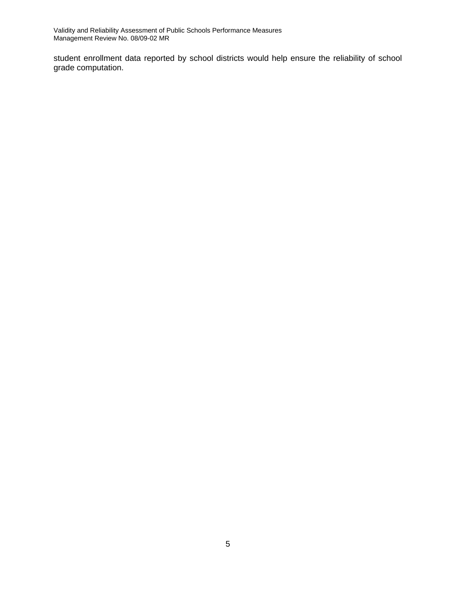Validity and Reliability Assessment of Public Schools Performance Measures Management Review No. 08/09-02 MR

student enrollment data reported by school districts would help ensure the reliability of school grade computation.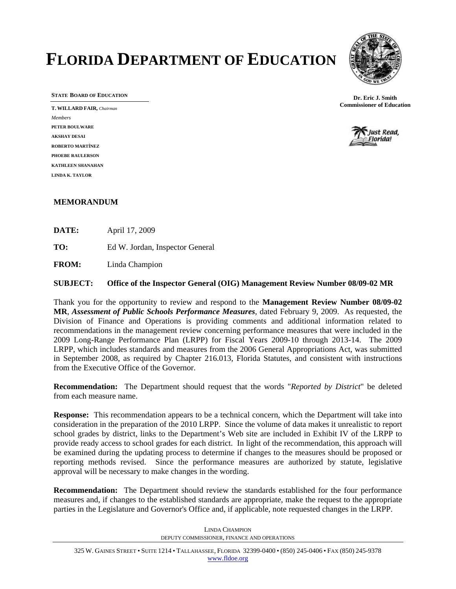# **FLORIDA DEPARTMENT OF EDUCATION**



**STATE BOARD OF EDUCATION**

**T. WILLARD FAIR,** *Chairman Members* **PETER BOULWARE AKSHAY DESAI ROBERTO MARTÍNEZ PHOEBE RAULERSON KATHLEEN SHANAHAN LINDA K. TAYLOR** 

**Dr. Eric J. Smith Commissioner of Education** 



#### **MEMORANDUM**

**DATE:** April 17, 2009

**TO:** Ed W. Jordan, Inspector General

**FROM:** Linda Champion

**SUBJECT: Office of the Inspector General (OIG) Management Review Number 08/09-02 MR** 

Thank you for the opportunity to review and respond to the **Management Review Number 08/09-02 MR**, *Assessment of Public Schools Performance Measures*, dated February 9, 2009. As requested, the Division of Finance and Operations is providing comments and additional information related to recommendations in the management review concerning performance measures that were included in the 2009 Long-Range Performance Plan (LRPP) for Fiscal Years 2009-10 through 2013-14. The 2009 LRPP, which includes standards and measures from the 2006 General Appropriations Act, was submitted in September 2008, as required by Chapter 216.013, Florida Statutes, and consistent with instructions from the Executive Office of the Governor.

**Recommendation:** The Department should request that the words "*Reported by District*" be deleted from each measure name.

**Response:** This recommendation appears to be a technical concern, which the Department will take into consideration in the preparation of the 2010 LRPP. Since the volume of data makes it unrealistic to report school grades by district, links to the Department's Web site are included in Exhibit IV of the LRPP to provide ready access to school grades for each district. In light of the recommendation, this approach will be examined during the updating process to determine if changes to the measures should be proposed or reporting methods revised. Since the performance measures are authorized by statute, legislative approval will be necessary to make changes in the wording.

**Recommendation:** The Department should review the standards established for the four performance measures and, if changes to the established standards are appropriate, make the request to the appropriate parties in the Legislature and Governor's Office and, if applicable, note requested changes in the LRPP.